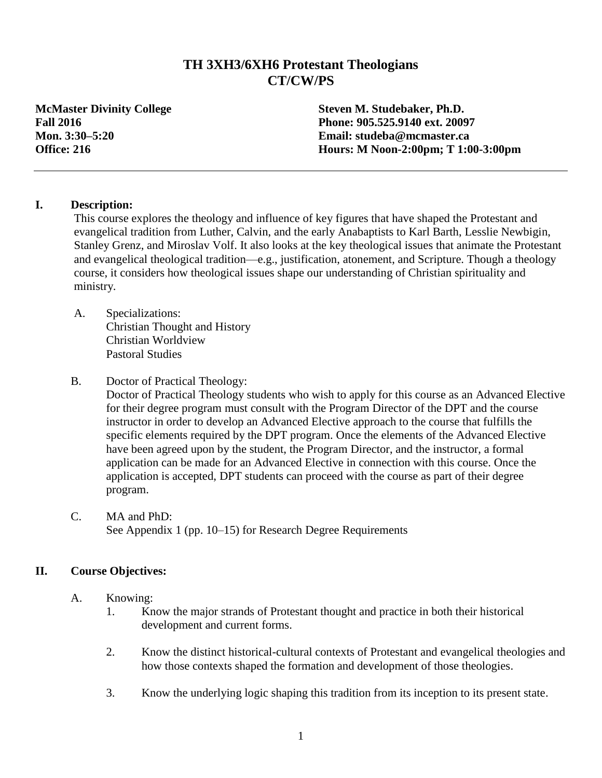## **TH 3XH3/6XH6 Protestant Theologians CT/CW/PS**

**McMaster Divinity College Steven M. Studebaker, Ph.D. Fall 2016 Phone: 905.525.9140 ext. 20097 Mon. 3:30–5:20 Email: studeba@mcmaster.ca Office: 216 Hours: M Noon-2:00pm; T 1:00-3:00pm**

#### **I. Description:**

This course explores the theology and influence of key figures that have shaped the Protestant and evangelical tradition from Luther, Calvin, and the early Anabaptists to Karl Barth, Lesslie Newbigin, Stanley Grenz, and Miroslav Volf. It also looks at the key theological issues that animate the Protestant and evangelical theological tradition—e.g., justification, atonement, and Scripture. Though a theology course, it considers how theological issues shape our understanding of Christian spirituality and ministry.

- A. Specializations: Christian Thought and History Christian Worldview Pastoral Studies
- B. Doctor of Practical Theology:

Doctor of Practical Theology students who wish to apply for this course as an Advanced Elective for their degree program must consult with the Program Director of the DPT and the course instructor in order to develop an Advanced Elective approach to the course that fulfills the specific elements required by the DPT program. Once the elements of the Advanced Elective have been agreed upon by the student, the Program Director, and the instructor, a formal application can be made for an Advanced Elective in connection with this course. Once the application is accepted, DPT students can proceed with the course as part of their degree program.

C. MA and PhD: See Appendix 1 (pp. 10–15) for Research Degree Requirements

## **II. Course Objectives:**

- A. Knowing:
	- 1. Know the major strands of Protestant thought and practice in both their historical development and current forms.
	- 2. Know the distinct historical-cultural contexts of Protestant and evangelical theologies and how those contexts shaped the formation and development of those theologies.
	- 3. Know the underlying logic shaping this tradition from its inception to its present state.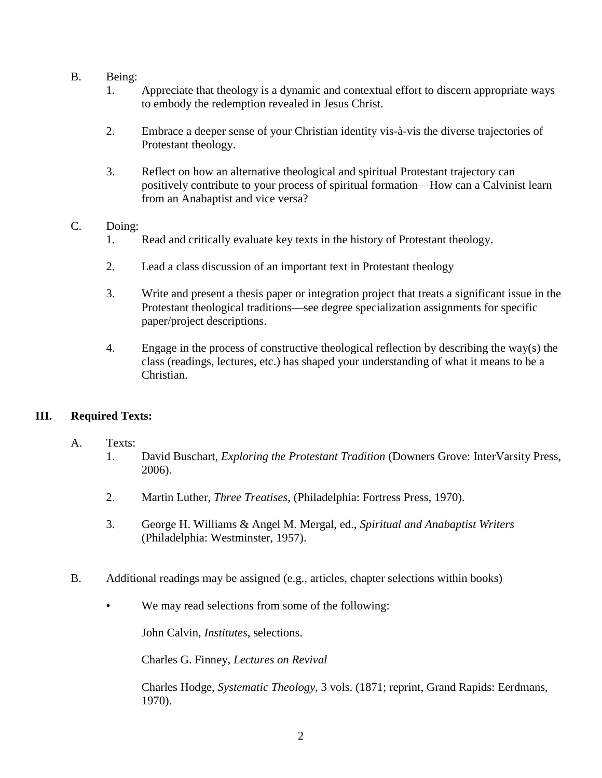- B. Being:
	- 1. Appreciate that theology is a dynamic and contextual effort to discern appropriate ways to embody the redemption revealed in Jesus Christ.
	- 2. Embrace a deeper sense of your Christian identity vis-à-vis the diverse trajectories of Protestant theology.
	- 3. Reflect on how an alternative theological and spiritual Protestant trajectory can positively contribute to your process of spiritual formation—How can a Calvinist learn from an Anabaptist and vice versa?

#### C. Doing:

- 1. Read and critically evaluate key texts in the history of Protestant theology.
- 2. Lead a class discussion of an important text in Protestant theology
- 3. Write and present a thesis paper or integration project that treats a significant issue in the Protestant theological traditions—see degree specialization assignments for specific paper/project descriptions.
- 4. Engage in the process of constructive theological reflection by describing the way(s) the class (readings, lectures, etc.) has shaped your understanding of what it means to be a Christian.

## **III. Required Texts:**

- A. Texts:
	- 1. David Buschart, *Exploring the Protestant Tradition* (Downers Grove: InterVarsity Press, 2006).
	- 2. Martin Luther, *Three Treatises*, (Philadelphia: Fortress Press, 1970).
	- 3. George H. Williams & Angel M. Mergal, ed., *Spiritual and Anabaptist Writers* (Philadelphia: Westminster, 1957).
- B. Additional readings may be assigned (e.g., articles, chapter selections within books)
	- We may read selections from some of the following:

John Calvin, *Institutes*, selections.

Charles G. Finney, *Lectures on Revival*

Charles Hodge, *Systematic Theology*, 3 vols. (1871; reprint, Grand Rapids: Eerdmans, 1970).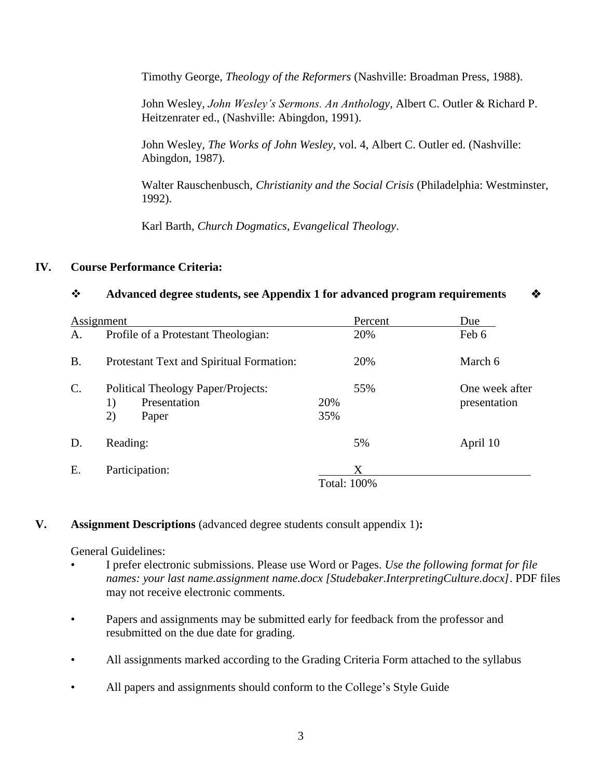Timothy George, *Theology of the Reformers* (Nashville: Broadman Press, 1988).

John Wesley, *John Wesley's Sermons. An Anthology*, Albert C. Outler & Richard P. Heitzenrater ed., (Nashville: Abingdon, 1991).

John Wesley, *The Works of John Wesley*, vol. 4, Albert C. Outler ed. (Nashville: Abingdon, 1987).

Walter Rauschenbusch, *Christianity and the Social Crisis* (Philadelphia: Westminster, 1992).

Karl Barth, *Church Dogmatics*, *Evangelical Theology*.

#### **IV. Course Performance Criteria:**

#### **Advanced degree students, see Appendix 1 for advanced program requirements**

| Assignment      |                                                                         |                    | Percent | Due                            |
|-----------------|-------------------------------------------------------------------------|--------------------|---------|--------------------------------|
| A.              | Profile of a Protestant Theologian:                                     |                    | 20%     | Feb 6                          |
| <b>B.</b>       | Protestant Text and Spiritual Formation:                                |                    | 20%     | March 6                        |
| $\mathcal{C}$ . | Political Theology Paper/Projects:<br>Presentation<br>1)<br>2)<br>Paper | 20%<br>35%         | 55%     | One week after<br>presentation |
| D.              | Reading:                                                                |                    | 5%      | April 10                       |
| E.              | Participation:                                                          | <b>Total: 100%</b> | X       |                                |

## **V. Assignment Descriptions** (advanced degree students consult appendix 1)**:**

General Guidelines:

- I prefer electronic submissions. Please use Word or Pages. *Use the following format for file names: your last name.assignment name.docx [Studebaker.InterpretingCulture.docx]*. PDF files may not receive electronic comments.
- Papers and assignments may be submitted early for feedback from the professor and resubmitted on the due date for grading.
- All assignments marked according to the Grading Criteria Form attached to the syllabus
- All papers and assignments should conform to the College's Style Guide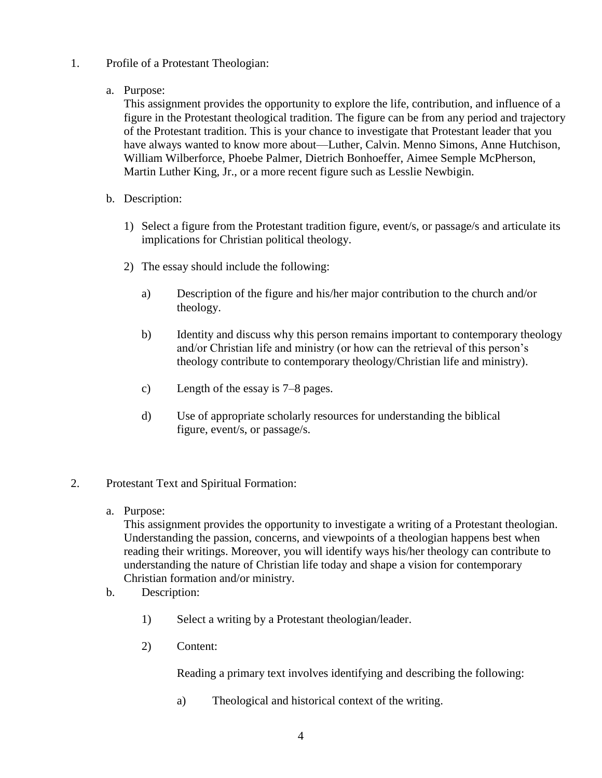- 1. Profile of a Protestant Theologian:
	- a. Purpose:

This assignment provides the opportunity to explore the life, contribution, and influence of a figure in the Protestant theological tradition. The figure can be from any period and trajectory of the Protestant tradition. This is your chance to investigate that Protestant leader that you have always wanted to know more about—Luther, Calvin. Menno Simons, Anne Hutchison, William Wilberforce, Phoebe Palmer, Dietrich Bonhoeffer, Aimee Semple McPherson, Martin Luther King, Jr., or a more recent figure such as Lesslie Newbigin.

- b. Description:
	- 1) Select a figure from the Protestant tradition figure, event/s, or passage/s and articulate its implications for Christian political theology.
	- 2) The essay should include the following:
		- a) Description of the figure and his/her major contribution to the church and/or theology.
		- b) Identity and discuss why this person remains important to contemporary theology and/or Christian life and ministry (or how can the retrieval of this person's theology contribute to contemporary theology/Christian life and ministry).
		- c) Length of the essay is 7–8 pages.
		- d) Use of appropriate scholarly resources for understanding the biblical figure, event/s, or passage/s.
- 2. Protestant Text and Spiritual Formation:
	- a. Purpose:

This assignment provides the opportunity to investigate a writing of a Protestant theologian. Understanding the passion, concerns, and viewpoints of a theologian happens best when reading their writings. Moreover, you will identify ways his/her theology can contribute to understanding the nature of Christian life today and shape a vision for contemporary Christian formation and/or ministry.

- b. Description:
	- 1) Select a writing by a Protestant theologian/leader.
	- 2) Content:

Reading a primary text involves identifying and describing the following:

a) Theological and historical context of the writing.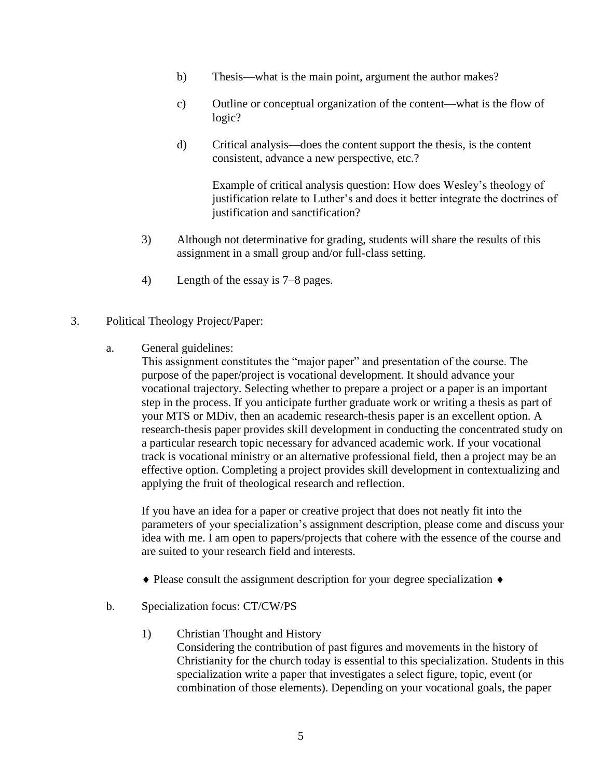- b) Thesis—what is the main point, argument the author makes?
- c) Outline or conceptual organization of the content—what is the flow of logic?
- d) Critical analysis—does the content support the thesis, is the content consistent, advance a new perspective, etc.?

Example of critical analysis question: How does Wesley's theology of justification relate to Luther's and does it better integrate the doctrines of justification and sanctification?

- 3) Although not determinative for grading, students will share the results of this assignment in a small group and/or full-class setting.
- 4) Length of the essay is 7–8 pages.
- 3. Political Theology Project/Paper:
	- a. General guidelines:

This assignment constitutes the "major paper" and presentation of the course. The purpose of the paper/project is vocational development. It should advance your vocational trajectory. Selecting whether to prepare a project or a paper is an important step in the process. If you anticipate further graduate work or writing a thesis as part of your MTS or MDiv, then an academic research-thesis paper is an excellent option. A research-thesis paper provides skill development in conducting the concentrated study on a particular research topic necessary for advanced academic work. If your vocational track is vocational ministry or an alternative professional field, then a project may be an effective option. Completing a project provides skill development in contextualizing and applying the fruit of theological research and reflection.

If you have an idea for a paper or creative project that does not neatly fit into the parameters of your specialization's assignment description, please come and discuss your idea with me. I am open to papers/projects that cohere with the essence of the course and are suited to your research field and interests.

- $\triangle$  Please consult the assignment description for your degree specialization  $\triangle$
- b. Specialization focus: CT/CW/PS
	- 1) Christian Thought and History
		- Considering the contribution of past figures and movements in the history of Christianity for the church today is essential to this specialization. Students in this specialization write a paper that investigates a select figure, topic, event (or combination of those elements). Depending on your vocational goals, the paper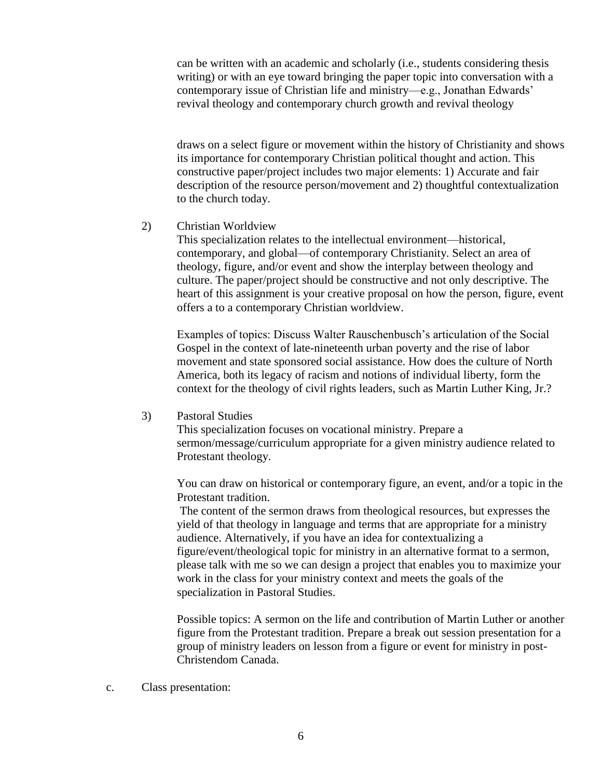can be written with an academic and scholarly (i.e., students considering thesis writing) or with an eye toward bringing the paper topic into conversation with a contemporary issue of Christian life and ministry—e.g., Jonathan Edwards' revival theology and contemporary church growth and revival theology

draws on a select figure or movement within the history of Christianity and shows its importance for contemporary Christian political thought and action. This constructive paper/project includes two major elements: 1) Accurate and fair description of the resource person/movement and 2) thoughtful contextualization to the church today.

#### 2) Christian Worldview

This specialization relates to the intellectual environment—historical, contemporary, and global—of contemporary Christianity. Select an area of theology, figure, and/or event and show the interplay between theology and culture. The paper/project should be constructive and not only descriptive. The heart of this assignment is your creative proposal on how the person, figure, event offers a to a contemporary Christian worldview.

Examples of topics: Discuss Walter Rauschenbusch's articulation of the Social Gospel in the context of late-nineteenth urban poverty and the rise of labor movement and state sponsored social assistance. How does the culture of North America, both its legacy of racism and notions of individual liberty, form the context for the theology of civil rights leaders, such as Martin Luther King, Jr.?

#### 3) Pastoral Studies

This specialization focuses on vocational ministry. Prepare a sermon/message/curriculum appropriate for a given ministry audience related to Protestant theology.

You can draw on historical or contemporary figure, an event, and/or a topic in the Protestant tradition.

The content of the sermon draws from theological resources, but expresses the yield of that theology in language and terms that are appropriate for a ministry audience. Alternatively, if you have an idea for contextualizing a figure/event/theological topic for ministry in an alternative format to a sermon, please talk with me so we can design a project that enables you to maximize your work in the class for your ministry context and meets the goals of the specialization in Pastoral Studies.

Possible topics: A sermon on the life and contribution of Martin Luther or another figure from the Protestant tradition. Prepare a break out session presentation for a group of ministry leaders on lesson from a figure or event for ministry in post-Christendom Canada.

c. Class presentation: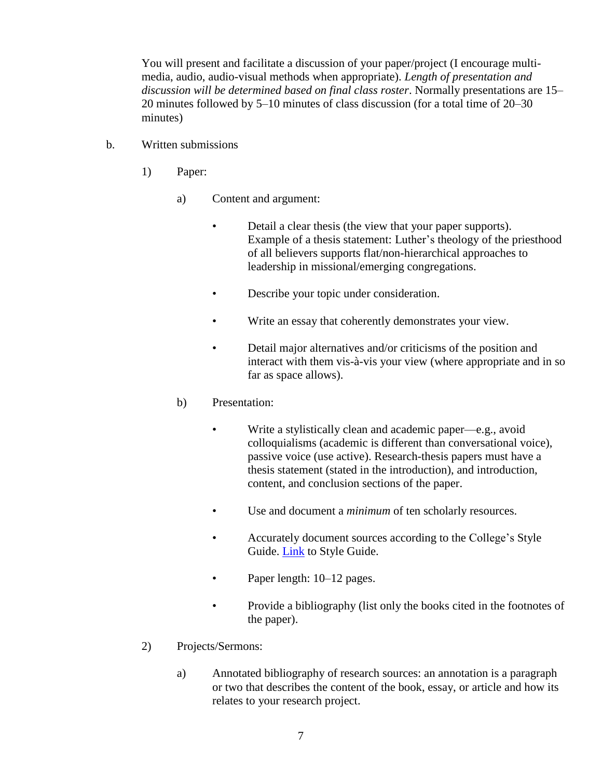You will present and facilitate a discussion of your paper/project (I encourage multimedia, audio, audio-visual methods when appropriate). *Length of presentation and discussion will be determined based on final class roster*. Normally presentations are 15– 20 minutes followed by 5–10 minutes of class discussion (for a total time of 20–30 minutes)

- b. Written submissions
	- 1) Paper:
		- a) Content and argument:
			- Detail a clear thesis (the view that your paper supports). Example of a thesis statement: Luther's theology of the priesthood of all believers supports flat/non-hierarchical approaches to leadership in missional/emerging congregations.
			- Describe your topic under consideration.
			- Write an essay that coherently demonstrates your view.
			- Detail major alternatives and/or criticisms of the position and interact with them vis-à-vis your view (where appropriate and in so far as space allows).
		- b) Presentation:
			- Write a stylistically clean and academic paper—e.g., avoid colloquialisms (academic is different than conversational voice), passive voice (use active). Research-thesis papers must have a thesis statement (stated in the introduction), and introduction, content, and conclusion sections of the paper.
			- Use and document a *minimum* of ten scholarly resources.
			- Accurately document sources according to the College's Style Guide. [Link](https://www.mcmasterdivinity.ca/sites/default/files/documents/mdcstyleguide.pdf) to Style Guide.
			- Paper length: 10–12 pages.
			- Provide a bibliography (list only the books cited in the footnotes of the paper).
	- 2) Projects/Sermons:
		- a) Annotated bibliography of research sources: an annotation is a paragraph or two that describes the content of the book, essay, or article and how its relates to your research project.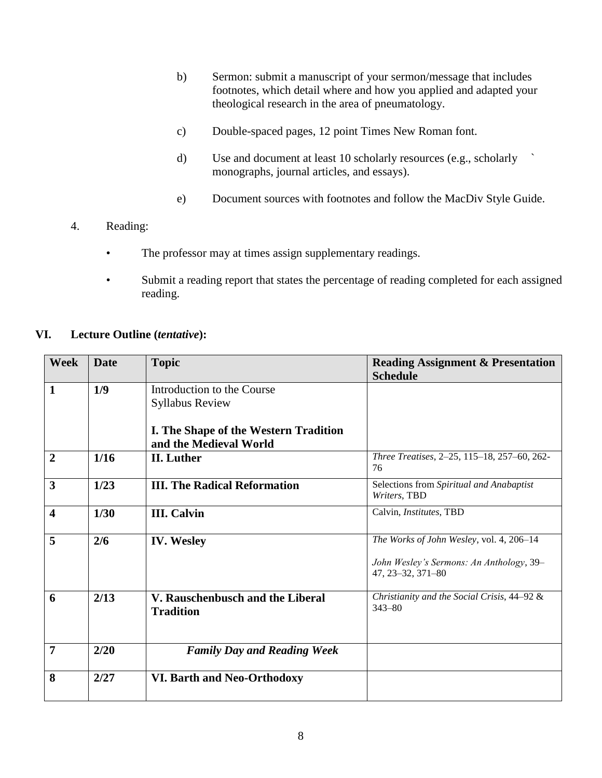- b) Sermon: submit a manuscript of your sermon/message that includes footnotes, which detail where and how you applied and adapted your theological research in the area of pneumatology.
- c) Double-spaced pages, 12 point Times New Roman font.
- d) Use and document at least 10 scholarly resources (e.g., scholarly ` monographs, journal articles, and essays).
- e) Document sources with footnotes and follow the MacDiv Style Guide.
- 4. Reading:
	- The professor may at times assign supplementary readings.
	- Submit a reading report that states the percentage of reading completed for each assigned reading.

#### **VI. Lecture Outline (***tentative***):**

| <b>Week</b>             | <b>Date</b> | <b>Topic</b>                                                    | <b>Reading Assignment &amp; Presentation</b><br><b>Schedule</b>                                           |
|-------------------------|-------------|-----------------------------------------------------------------|-----------------------------------------------------------------------------------------------------------|
| $\mathbf{1}$            | 1/9         | Introduction to the Course<br><b>Syllabus Review</b>            |                                                                                                           |
|                         |             | I. The Shape of the Western Tradition<br>and the Medieval World |                                                                                                           |
| $\overline{2}$          | 1/16        | <b>II.</b> Luther                                               | Three Treatises, 2-25, 115-18, 257-60, 262-<br>76                                                         |
| $\overline{\mathbf{3}}$ | 1/23        | <b>III. The Radical Reformation</b>                             | Selections from Spiritual and Anabaptist<br>Writers, TBD                                                  |
| $\overline{\mathbf{4}}$ | 1/30        | <b>III.</b> Calvin                                              | Calvin, Institutes, TBD                                                                                   |
| 5                       | 2/6         | <b>IV.</b> Wesley                                               | The Works of John Wesley, vol. 4, 206-14<br>John Wesley's Sermons: An Anthology, 39-<br>47, 23-32, 371-80 |
| 6                       | 2/13        | V. Rauschenbusch and the Liberal<br><b>Tradition</b>            | Christianity and the Social Crisis, 44-92 &<br>$343 - 80$                                                 |
| $\overline{7}$          | 2/20        | <b>Family Day and Reading Week</b>                              |                                                                                                           |
| 8                       | 2/27        | VI. Barth and Neo-Orthodoxy                                     |                                                                                                           |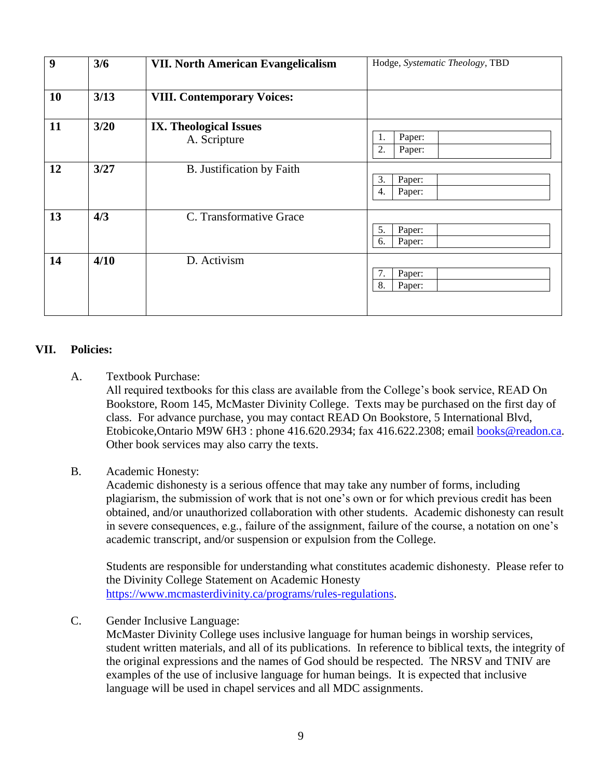| $\boldsymbol{9}$ | 3/6  | <b>VII. North American Evangelicalism</b>     | Hodge, Systematic Theology, TBD |  |  |
|------------------|------|-----------------------------------------------|---------------------------------|--|--|
| 10               | 3/13 | <b>VIII. Contemporary Voices:</b>             |                                 |  |  |
| 11               | 3/20 | <b>IX. Theological Issues</b><br>A. Scripture | Paper:<br>1.<br>2.<br>Paper:    |  |  |
| 12               | 3/27 | B. Justification by Faith                     | 3.<br>Paper:<br>4.<br>Paper:    |  |  |
| 13               | 4/3  | C. Transformative Grace                       | 5.<br>Paper:<br>6.<br>Paper:    |  |  |
| 14               | 4/10 | D. Activism                                   | 7.<br>Paper:<br>8.<br>Paper:    |  |  |

#### **VII. Policies:**

A. Textbook Purchase:

All required textbooks for this class are available from the College's book service, READ On Bookstore, Room 145, McMaster Divinity College. Texts may be purchased on the first day of class. For advance purchase, you may contact READ On Bookstore, 5 International Blvd, Etobicoke,Ontario M9W 6H3 : phone 416.620.2934; fax 416.622.2308; email [books@readon.ca.](mailto:books@readon.ca) Other book services may also carry the texts.

#### B. Academic Honesty:

Academic dishonesty is a serious offence that may take any number of forms, including plagiarism, the submission of work that is not one's own or for which previous credit has been obtained, and/or unauthorized collaboration with other students. Academic dishonesty can result in severe consequences, e.g., failure of the assignment, failure of the course, a notation on one's academic transcript, and/or suspension or expulsion from the College.

Students are responsible for understanding what constitutes academic dishonesty. Please refer to the Divinity College Statement on Academic Honesty [https://www.mcmasterdivinity.ca/programs/rules-regulations.](https://www.mcmasterdivinity.ca/programs/rules-regulations)

C. Gender Inclusive Language:

McMaster Divinity College uses inclusive language for human beings in worship services, student written materials, and all of its publications. In reference to biblical texts, the integrity of the original expressions and the names of God should be respected. The NRSV and TNIV are examples of the use of inclusive language for human beings. It is expected that inclusive language will be used in chapel services and all MDC assignments.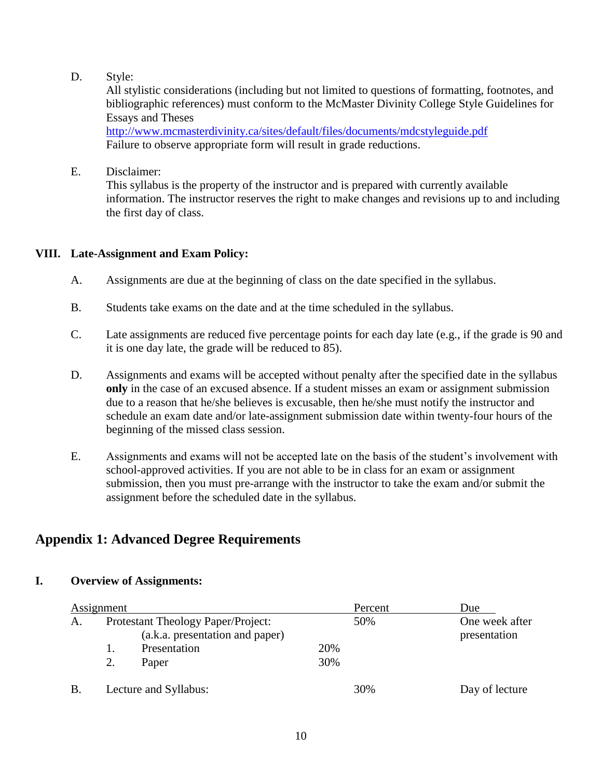D. Style:

All stylistic considerations (including but not limited to questions of formatting, footnotes, and bibliographic references) must conform to the McMaster Divinity College Style Guidelines for Essays and Theses

[http://www.mcmasterdivinity.ca/sites/default/files/documents/mdcstyleguide.pdf](http://www.mcmasterdivinity.ca/sites/default/files/documents/MDCStyleGuide.pdf) Failure to observe appropriate form will result in grade reductions.

E. Disclaimer:

This syllabus is the property of the instructor and is prepared with currently available information. The instructor reserves the right to make changes and revisions up to and including the first day of class.

## **VIII. Late-Assignment and Exam Policy:**

- A. Assignments are due at the beginning of class on the date specified in the syllabus.
- B. Students take exams on the date and at the time scheduled in the syllabus.
- C. Late assignments are reduced five percentage points for each day late (e.g., if the grade is 90 and it is one day late, the grade will be reduced to 85).
- D. Assignments and exams will be accepted without penalty after the specified date in the syllabus **only** in the case of an excused absence. If a student misses an exam or assignment submission due to a reason that he/she believes is excusable, then he/she must notify the instructor and schedule an exam date and/or late-assignment submission date within twenty-four hours of the beginning of the missed class session.
- E. Assignments and exams will not be accepted late on the basis of the student's involvement with school-approved activities. If you are not able to be in class for an exam or assignment submission, then you must pre-arrange with the instructor to take the exam and/or submit the assignment before the scheduled date in the syllabus.

# **Appendix 1: Advanced Degree Requirements**

## **I. Overview of Assignments:**

| Assignment |                                                                       |              |     | Percent | Due                            |
|------------|-----------------------------------------------------------------------|--------------|-----|---------|--------------------------------|
| A.         | Protestant Theology Paper/Project:<br>(a.k.a. presentation and paper) |              |     | 50%     | One week after<br>presentation |
|            |                                                                       | Presentation | 20% |         |                                |
|            | 2.                                                                    | Paper        | 30% |         |                                |
|            | Lecture and Syllabus:                                                 |              |     | 30%     | Day of lecture                 |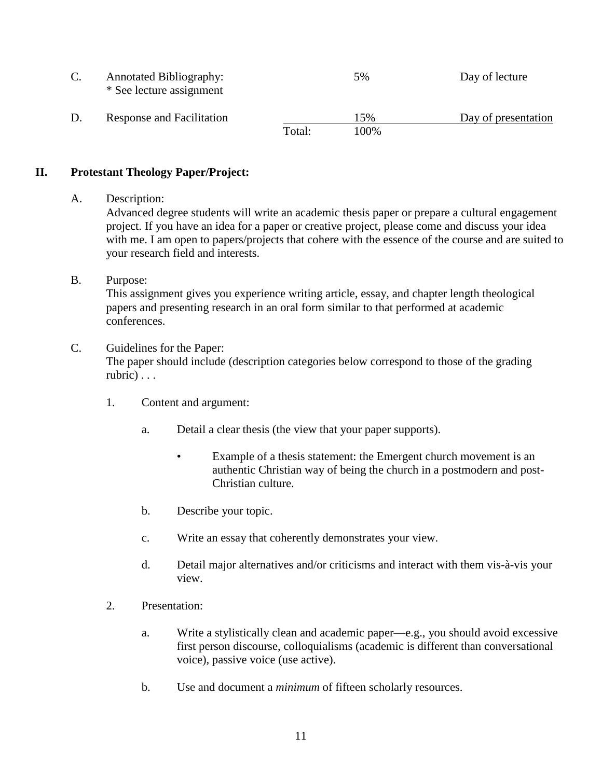|  | <b>Annotated Bibliography:</b><br>* See lecture assignment |        | 5%   | Day of lecture      |
|--|------------------------------------------------------------|--------|------|---------------------|
|  | Response and Facilitation                                  |        | 15%  | Day of presentation |
|  |                                                            | Total: | 100% |                     |

#### **II. Protestant Theology Paper/Project:**

A. Description:

Advanced degree students will write an academic thesis paper or prepare a cultural engagement project. If you have an idea for a paper or creative project, please come and discuss your idea with me. I am open to papers/projects that cohere with the essence of the course and are suited to your research field and interests.

B. Purpose:

This assignment gives you experience writing article, essay, and chapter length theological papers and presenting research in an oral form similar to that performed at academic conferences.

C. Guidelines for the Paper:

The paper should include (description categories below correspond to those of the grading rubric) . . .

- 1. Content and argument:
	- a. Detail a clear thesis (the view that your paper supports).
		- Example of a thesis statement: the Emergent church movement is an authentic Christian way of being the church in a postmodern and post-Christian culture.
	- b. Describe your topic.
	- c. Write an essay that coherently demonstrates your view.
	- d. Detail major alternatives and/or criticisms and interact with them vis-à-vis your view.
- 2. Presentation:
	- a. Write a stylistically clean and academic paper—e.g., you should avoid excessive first person discourse, colloquialisms (academic is different than conversational voice), passive voice (use active).
	- b. Use and document a *minimum* of fifteen scholarly resources.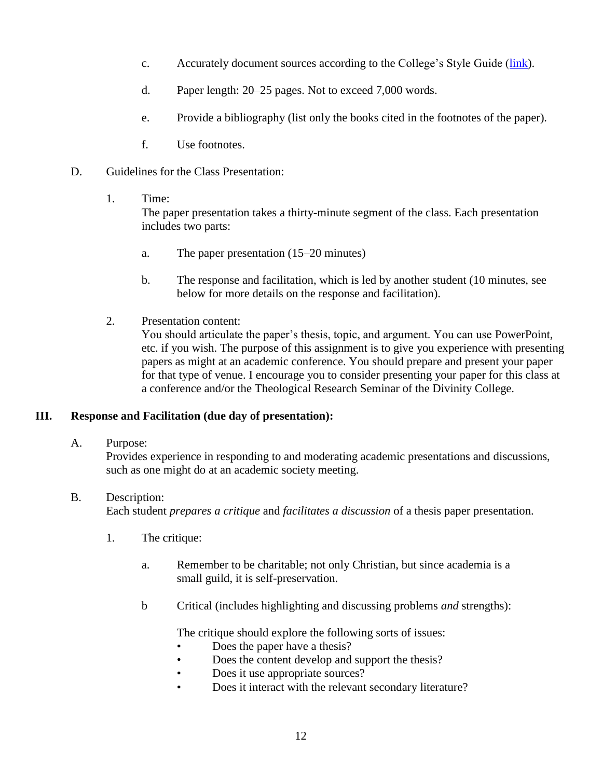- c. Accurately document sources according to the College's Style Guide [\(link\)](https://www.mcmasterdivinity.ca/sites/default/files/documents/mdc_styleguide.pdf).
- d. Paper length: 20–25 pages. Not to exceed 7,000 words.
- e. Provide a bibliography (list only the books cited in the footnotes of the paper).
- f. Use footnotes.
- D. Guidelines for the Class Presentation:
	- 1. Time:

The paper presentation takes a thirty-minute segment of the class. Each presentation includes two parts:

- a. The paper presentation (15–20 minutes)
- b. The response and facilitation, which is led by another student (10 minutes, see below for more details on the response and facilitation).
- 2. Presentation content:

You should articulate the paper's thesis, topic, and argument. You can use PowerPoint, etc. if you wish. The purpose of this assignment is to give you experience with presenting papers as might at an academic conference. You should prepare and present your paper for that type of venue. I encourage you to consider presenting your paper for this class at a conference and/or the Theological Research Seminar of the Divinity College.

#### **III. Response and Facilitation (due day of presentation):**

A. Purpose:

Provides experience in responding to and moderating academic presentations and discussions, such as one might do at an academic society meeting.

B. Description:

Each student *prepares a critique* and *facilitates a discussion* of a thesis paper presentation.

- 1. The critique:
	- a. Remember to be charitable; not only Christian, but since academia is a small guild, it is self-preservation.
	- b Critical (includes highlighting and discussing problems *and* strengths):

The critique should explore the following sorts of issues:

- Does the paper have a thesis?
- Does the content develop and support the thesis?
- Does it use appropriate sources?
- Does it interact with the relevant secondary literature?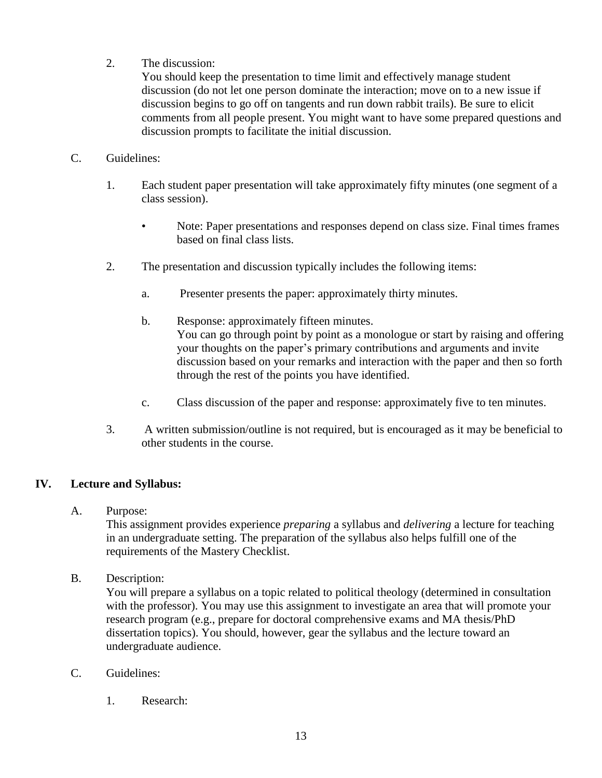2. The discussion:

You should keep the presentation to time limit and effectively manage student discussion (do not let one person dominate the interaction; move on to a new issue if discussion begins to go off on tangents and run down rabbit trails). Be sure to elicit comments from all people present. You might want to have some prepared questions and discussion prompts to facilitate the initial discussion.

#### C. Guidelines:

- 1. Each student paper presentation will take approximately fifty minutes (one segment of a class session).
	- Note: Paper presentations and responses depend on class size. Final times frames based on final class lists.
- 2. The presentation and discussion typically includes the following items:
	- a. Presenter presents the paper: approximately thirty minutes.
	- b. Response: approximately fifteen minutes. You can go through point by point as a monologue or start by raising and offering your thoughts on the paper's primary contributions and arguments and invite discussion based on your remarks and interaction with the paper and then so forth through the rest of the points you have identified.
	- c. Class discussion of the paper and response: approximately five to ten minutes.
- 3. A written submission/outline is not required, but is encouraged as it may be beneficial to other students in the course.

## **IV. Lecture and Syllabus:**

A. Purpose:

This assignment provides experience *preparing* a syllabus and *delivering* a lecture for teaching in an undergraduate setting. The preparation of the syllabus also helps fulfill one of the requirements of the Mastery Checklist.

B. Description:

You will prepare a syllabus on a topic related to political theology (determined in consultation with the professor). You may use this assignment to investigate an area that will promote your research program (e.g., prepare for doctoral comprehensive exams and MA thesis/PhD dissertation topics). You should, however, gear the syllabus and the lecture toward an undergraduate audience.

- C. Guidelines:
	- 1. Research: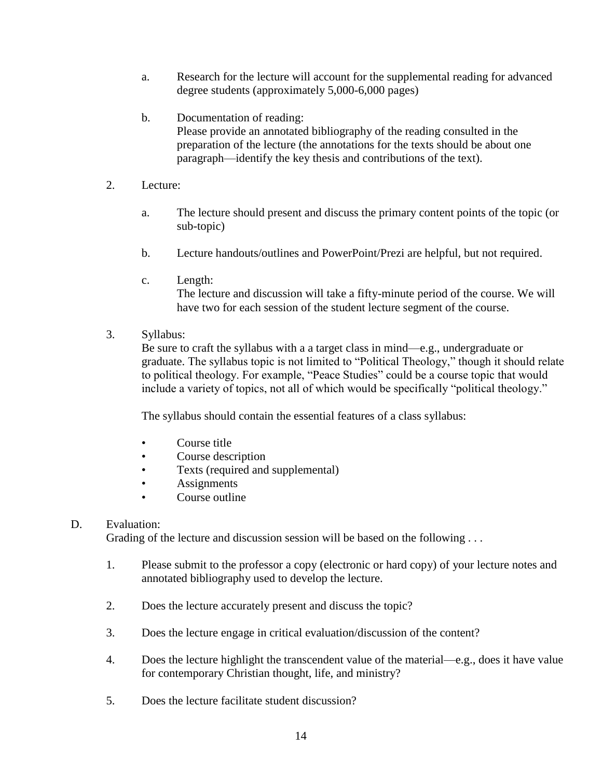- a. Research for the lecture will account for the supplemental reading for advanced degree students (approximately 5,000-6,000 pages)
- b. Documentation of reading: Please provide an annotated bibliography of the reading consulted in the preparation of the lecture (the annotations for the texts should be about one paragraph—identify the key thesis and contributions of the text).
- 2. Lecture:
	- a. The lecture should present and discuss the primary content points of the topic (or sub-topic)
	- b. Lecture handouts/outlines and PowerPoint/Prezi are helpful, but not required.
	- c. Length:

The lecture and discussion will take a fifty-minute period of the course. We will have two for each session of the student lecture segment of the course.

3. Syllabus:

Be sure to craft the syllabus with a a target class in mind—e.g., undergraduate or graduate. The syllabus topic is not limited to "Political Theology," though it should relate to political theology. For example, "Peace Studies" could be a course topic that would include a variety of topics, not all of which would be specifically "political theology."

The syllabus should contain the essential features of a class syllabus:

- Course title
- Course description
- Texts (required and supplemental)
- **Assignments**
- Course outline

#### D. Evaluation:

Grading of the lecture and discussion session will be based on the following ...

- 1. Please submit to the professor a copy (electronic or hard copy) of your lecture notes and annotated bibliography used to develop the lecture.
- 2. Does the lecture accurately present and discuss the topic?
- 3. Does the lecture engage in critical evaluation/discussion of the content?
- 4. Does the lecture highlight the transcendent value of the material—e.g., does it have value for contemporary Christian thought, life, and ministry?
- 5. Does the lecture facilitate student discussion?